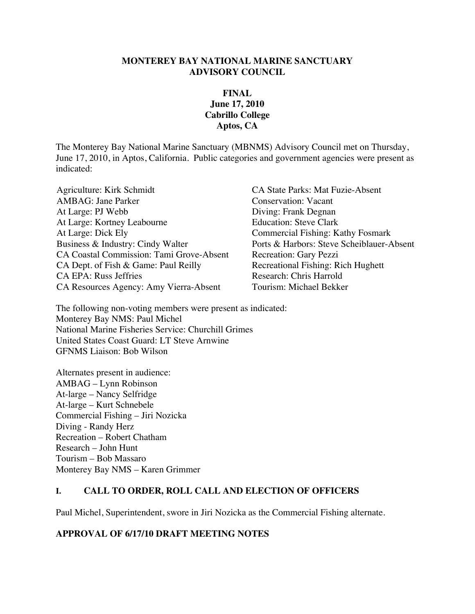#### **MONTEREY BAY NATIONAL MARINE SANCTUARY ADVISORY COUNCIL**

## **FINAL June 17, 2010 Cabrillo College Aptos, CA**

The Monterey Bay National Marine Sanctuary (MBNMS) Advisory Council met on Thursday, June 17, 2010, in Aptos, California. Public categories and government agencies were present as indicated:

Agriculture: Kirk Schmidt CA State Parks: Mat Fuzie-Absent AMBAG: Jane Parker Conservation: Vacant At Large: PJ Webb Diving: Frank Degnan At Large: Kortney Leabourne Education: Steve Clark At Large: Dick Ely<br>
Business & Industry: Cindy Walter<br>
Ports & Harbors: Steve Scheiblauer-A CA Coastal Commission: Tami Grove-Absent Recreation: Gary Pezzi CA Dept. of Fish & Game: Paul Reilly Recreational Fishing: Rich Hughett CA EPA: Russ Jeffries<br>
CA Resources Agency: Amy Vierra-Absent<br>
Tourism: Michael Bekker CA Resources Agency: Amy Vierra-Absent

Ports & Harbors: Steve Scheiblauer-Absent

The following non-voting members were present as indicated: Monterey Bay NMS: Paul Michel National Marine Fisheries Service: Churchill Grimes United States Coast Guard: LT Steve Arnwine GFNMS Liaison: Bob Wilson

Alternates present in audience: AMBAG – Lynn Robinson At-large – Nancy Selfridge At-large – Kurt Schnebele Commercial Fishing – Jiri Nozicka Diving - Randy Herz Recreation – Robert Chatham Research – John Hunt Tourism – Bob Massaro Monterey Bay NMS – Karen Grimmer

### **I. CALL TO ORDER, ROLL CALL AND ELECTION OF OFFICERS**

Paul Michel, Superintendent, swore in Jiri Nozicka as the Commercial Fishing alternate.

### **APPROVAL OF 6/17/10 DRAFT MEETING NOTES**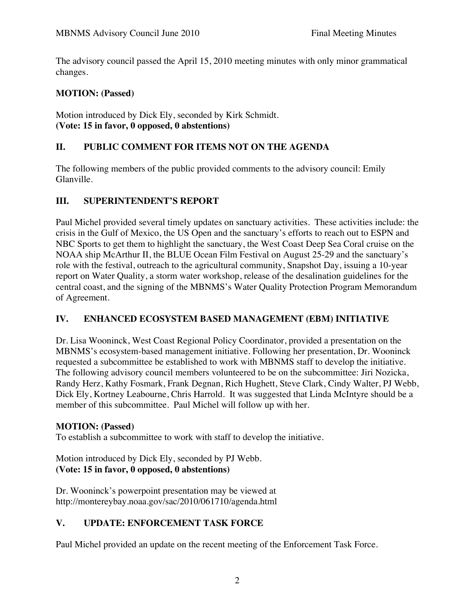The advisory council passed the April 15, 2010 meeting minutes with only minor grammatical changes.

## **MOTION: (Passed)**

Motion introduced by Dick Ely, seconded by Kirk Schmidt. **(Vote: 15 in favor, 0 opposed, 0 abstentions)** 

## **II. PUBLIC COMMENT FOR ITEMS NOT ON THE AGENDA**

The following members of the public provided comments to the advisory council: Emily Glanville.

## **III. SUPERINTENDENT'S REPORT**

Paul Michel provided several timely updates on sanctuary activities. These activities include: the crisis in the Gulf of Mexico, the US Open and the sanctuary's efforts to reach out to ESPN and NBC Sports to get them to highlight the sanctuary, the West Coast Deep Sea Coral cruise on the NOAA ship McArthur II, the BLUE Ocean Film Festival on August 25-29 and the sanctuary's role with the festival, outreach to the agricultural community, Snapshot Day, issuing a 10-year report on Water Quality, a storm water workshop, release of the desalination guidelines for the central coast, and the signing of the MBNMS's Water Quality Protection Program Memorandum of Agreement.

### **IV. ENHANCED ECOSYSTEM BASED MANAGEMENT (EBM) INITIATIVE**

Dr. Lisa Wooninck, West Coast Regional Policy Coordinator, provided a presentation on the MBNMS's ecosystem-based management initiative. Following her presentation, Dr. Wooninck requested a subcommittee be established to work with MBNMS staff to develop the initiative. The following advisory council members volunteered to be on the subcommittee: Jiri Nozicka, Randy Herz, Kathy Fosmark, Frank Degnan, Rich Hughett, Steve Clark, Cindy Walter, PJ Webb, Dick Ely, Kortney Leabourne, Chris Harrold. It was suggested that Linda McIntyre should be a member of this subcommittee. Paul Michel will follow up with her.

### **MOTION: (Passed)**

To establish a subcommittee to work with staff to develop the initiative.

Motion introduced by Dick Ely, seconded by PJ Webb. **(Vote: 15 in favor, 0 opposed, 0 abstentions)** 

Dr. Wooninck's powerpoint presentation may be viewed at http://montereybay.noaa.gov/sac/2010/061710/agenda.html

### **V. UPDATE: ENFORCEMENT TASK FORCE**

Paul Michel provided an update on the recent meeting of the Enforcement Task Force.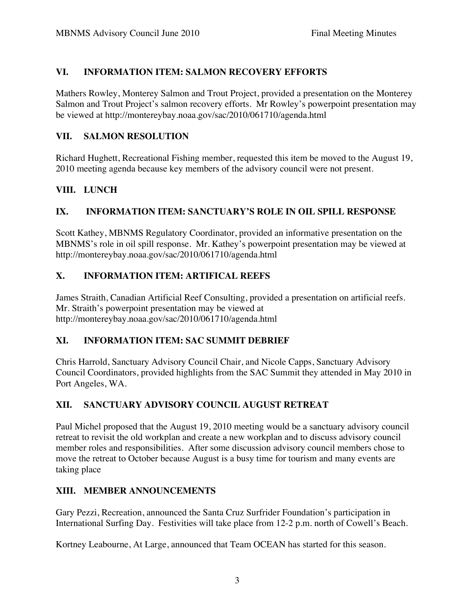# **VI. INFORMATION ITEM: SALMON RECOVERY EFFORTS**

Mathers Rowley, Monterey Salmon and Trout Project, provided a presentation on the Monterey Salmon and Trout Project's salmon recovery efforts. Mr Rowley's powerpoint presentation may be viewed at http://montereybay.noaa.gov/sac/2010/061710/agenda.html

### **VII. SALMON RESOLUTION**

Richard Hughett, Recreational Fishing member, requested this item be moved to the August 19, 2010 meeting agenda because key members of the advisory council were not present.

# **VIII. LUNCH**

## **IX. INFORMATION ITEM: SANCTUARY'S ROLE IN OIL SPILL RESPONSE**

Scott Kathey, MBNMS Regulatory Coordinator, provided an informative presentation on the MBNMS's role in oil spill response. Mr. Kathey's powerpoint presentation may be viewed at http://montereybay.noaa.gov/sac/2010/061710/agenda.html

## **X. INFORMATION ITEM: ARTIFICAL REEFS**

James Straith, Canadian Artificial Reef Consulting, provided a presentation on artificial reefs. Mr. Straith's powerpoint presentation may be viewed at http://montereybay.noaa.gov/sac/2010/061710/agenda.html

### **XI. INFORMATION ITEM: SAC SUMMIT DEBRIEF**

Chris Harrold, Sanctuary Advisory Council Chair, and Nicole Capps, Sanctuary Advisory Council Coordinators, provided highlights from the SAC Summit they attended in May 2010 in Port Angeles, WA.

# **XII. SANCTUARY ADVISORY COUNCIL AUGUST RETREAT**

Paul Michel proposed that the August 19, 2010 meeting would be a sanctuary advisory council retreat to revisit the old workplan and create a new workplan and to discuss advisory council member roles and responsibilities. After some discussion advisory council members chose to move the retreat to October because August is a busy time for tourism and many events are taking place

### **XIII. MEMBER ANNOUNCEMENTS**

Gary Pezzi, Recreation, announced the Santa Cruz Surfrider Foundation's participation in International Surfing Day. Festivities will take place from 12-2 p.m. north of Cowell's Beach.

Kortney Leabourne, At Large, announced that Team OCEAN has started for this season.